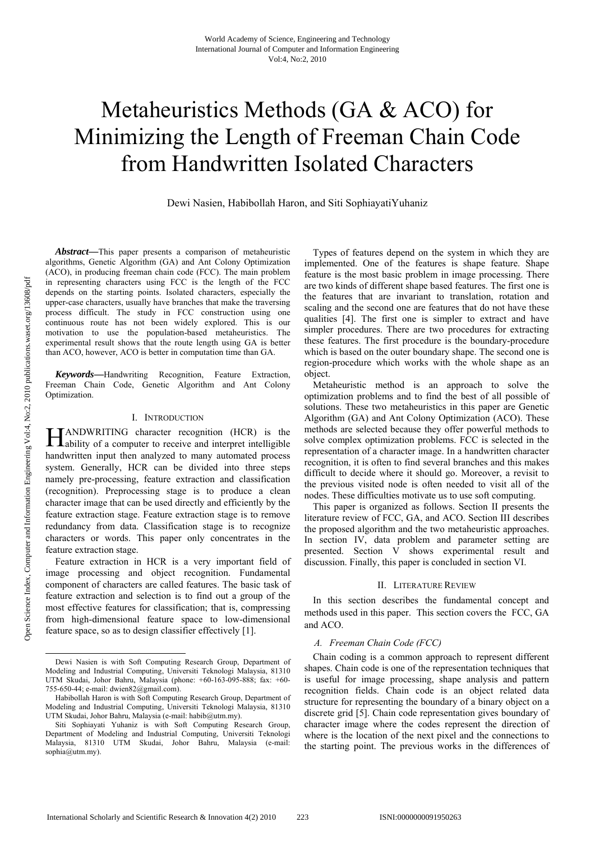# Metaheuristics Methods (GA & ACO) for Minimizing the Length of Freeman Chain Code from Handwritten Isolated Characters

Dewi Nasien, Habibollah Haron, and Siti SophiayatiYuhaniz

*Abstract***—**This paper presents a comparison of metaheuristic algorithms, Genetic Algorithm (GA) and Ant Colony Optimization (ACO), in producing freeman chain code (FCC). The main problem in representing characters using FCC is the length of the FCC depends on the starting points. Isolated characters, especially the upper-case characters, usually have branches that make the traversing process difficult. The study in FCC construction using one continuous route has not been widely explored. This is our motivation to use the population-based metaheuristics. The experimental result shows that the route length using GA is better than ACO, however, ACO is better in computation time than GA.

*Keywords***—**Handwriting Recognition, Feature Extraction, Freeman Chain Code, Genetic Algorithm and Ant Colony Optimization.

#### I. INTRODUCTION

ANDWRITING character recognition (HCR) is the **HANDWRITING** character recognition (HCR) is the ability of a computer to receive and interpret intelligible handwritten input then analyzed to many automated process system. Generally, HCR can be divided into three steps namely pre-processing, feature extraction and classification (recognition). Preprocessing stage is to produce a clean character image that can be used directly and efficiently by the feature extraction stage. Feature extraction stage is to remove redundancy from data. Classification stage is to recognize characters or words. This paper only concentrates in the feature extraction stage.

Feature extraction in HCR is a very important field of image processing and object recognition. Fundamental component of characters are called features. The basic task of feature extraction and selection is to find out a group of the most effective features for classification; that is, compressing from high-dimensional feature space to low-dimensional feature space, so as to design classifier effectively [1].

Types of features depend on the system in which they are implemented. One of the features is shape feature. Shape feature is the most basic problem in image processing. There are two kinds of different shape based features. The first one is the features that are invariant to translation, rotation and scaling and the second one are features that do not have these qualities [4]. The first one is simpler to extract and have simpler procedures. There are two procedures for extracting these features. The first procedure is the boundary-procedure which is based on the outer boundary shape. The second one is region-procedure which works with the whole shape as an object.

Metaheuristic method is an approach to solve the optimization problems and to find the best of all possible of solutions. These two metaheuristics in this paper are Genetic Algorithm (GA) and Ant Colony Optimization (ACO). These methods are selected because they offer powerful methods to solve complex optimization problems. FCC is selected in the representation of a character image. In a handwritten character recognition, it is often to find several branches and this makes difficult to decide where it should go. Moreover, a revisit to the previous visited node is often needed to visit all of the nodes. These difficulties motivate us to use soft computing.

This paper is organized as follows. Section II presents the literature review of FCC, GA, and ACO. Section III describes the proposed algorithm and the two metaheuristic approaches. In section IV, data problem and parameter setting are presented. Section V shows experimental result and discussion. Finally, this paper is concluded in section VI.

#### II. LITERATURE REVIEW

In this section describes the fundamental concept and methods used in this paper. This section covers the FCC, GA and ACO.

#### *A. Freeman Chain Code (FCC)*

 Chain coding is a common approach to represent different shapes. Chain code is one of the representation techniques that is useful for image processing, shape analysis and pattern recognition fields. Chain code is an object related data structure for representing the boundary of a binary object on a discrete grid [5]. Chain code representation gives boundary of character image where the codes represent the direction of where is the location of the next pixel and the connections to the starting point. The previous works in the differences of

Dewi Nasien is with Soft Computing Research Group, Department of Modeling and Industrial Computing, Universiti Teknologi Malaysia, 81310 UTM Skudai, Johor Bahru, Malaysia (phone: +60-163-095-888; fax: +60- 755-650-44; e-mail: dwien82@gmail.com).

Habibollah Haron is with Soft Computing Research Group, Department of Modeling and Industrial Computing, Universiti Teknologi Malaysia, 81310 UTM Skudai, Johor Bahru, Malaysia (e-mail: habib@utm.my).

Siti Sophiayati Yuhaniz is with Soft Computing Research Group, Department of Modeling and Industrial Computing, Universiti Teknologi Malaysia, 81310 UTM Skudai, Johor Bahru, Malaysia (e-mail: sophia@utm.my).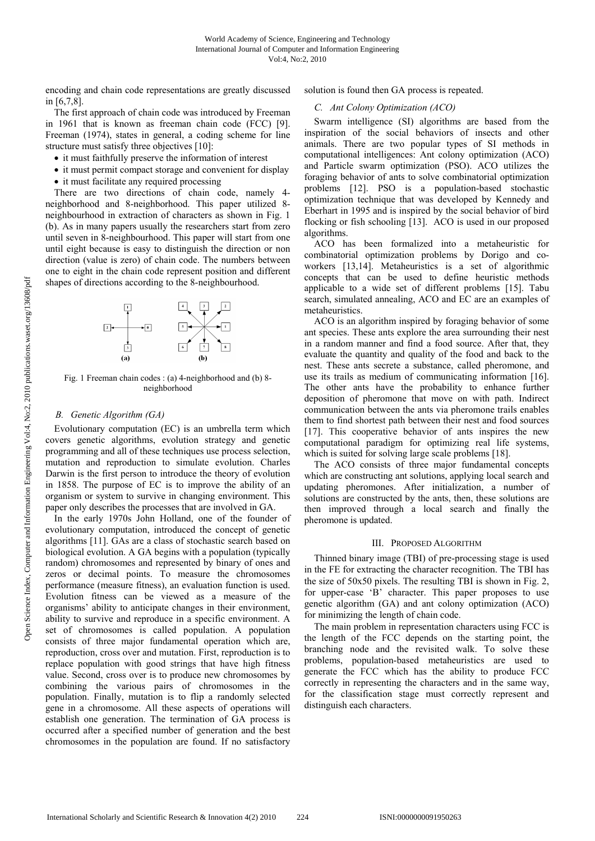encoding and chain code representations are greatly discussed in [6,7,8].

The first approach of chain code was introduced by Freeman in 1961 that is known as freeman chain code (FCC) [9]. Freeman (1974), states in general, a coding scheme for line structure must satisfy three objectives [10]:

- it must faithfully preserve the information of interest
- it must permit compact storage and convenient for display
- it must facilitate any required processing

There are two directions of chain code, namely 4 neighborhood and 8-neighborhood. This paper utilized 8 neighbourhood in extraction of characters as shown in Fig. 1 (b). As in many papers usually the researchers start from zero until seven in 8-neighbourhood. This paper will start from one until eight because is easy to distinguish the direction or non direction (value is zero) of chain code. The numbers between one to eight in the chain code represent position and different shapes of directions according to the 8-neighbourhood.



Fig. 1 Freeman chain codes : (a) 4-neighborhood and (b) 8 neighborhood

## *B. Genetic Algorithm (GA)*

 Evolutionary computation (EC) is an umbrella term which covers genetic algorithms, evolution strategy and genetic programming and all of these techniques use process selection, mutation and reproduction to simulate evolution. Charles Darwin is the first person to introduce the theory of evolution in 1858. The purpose of EC is to improve the ability of an organism or system to survive in changing environment. This paper only describes the processes that are involved in GA.

 In the early 1970s John Holland, one of the founder of evolutionary computation, introduced the concept of genetic algorithms [11]. GAs are a class of stochastic search based on biological evolution. A GA begins with a population (typically random) chromosomes and represented by binary of ones and zeros or decimal points. To measure the chromosomes performance (measure fitness), an evaluation function is used. Evolution fitness can be viewed as a measure of the organisms' ability to anticipate changes in their environment, ability to survive and reproduce in a specific environment. A set of chromosomes is called population. A population consists of three major fundamental operation which are, reproduction, cross over and mutation. First, reproduction is to replace population with good strings that have high fitness value. Second, cross over is to produce new chromosomes by combining the various pairs of chromosomes in the population. Finally, mutation is to flip a randomly selected gene in a chromosome. All these aspects of operations will establish one generation. The termination of GA process is occurred after a specified number of generation and the best chromosomes in the population are found. If no satisfactory

solution is found then GA process is repeated.

# *C. Ant Colony Optimization (ACO)*

Swarm intelligence (SI) algorithms are based from the inspiration of the social behaviors of insects and other animals. There are two popular types of SI methods in computational intelligences: Ant colony optimization (ACO) and Particle swarm optimization (PSO). ACO utilizes the foraging behavior of ants to solve combinatorial optimization problems [12]. PSO is a population-based stochastic optimization technique that was developed by Kennedy and Eberhart in 1995 and is inspired by the social behavior of bird flocking or fish schooling [13]. ACO is used in our proposed algorithms.

ACO has been formalized into a metaheuristic for combinatorial optimization problems by Dorigo and coworkers [13,14]. Metaheuristics is a set of algorithmic concepts that can be used to define heuristic methods applicable to a wide set of different problems [15]. Tabu search, simulated annealing, ACO and EC are an examples of metaheuristics.

ACO is an algorithm inspired by foraging behavior of some ant species. These ants explore the area surrounding their nest in a random manner and find a food source. After that, they evaluate the quantity and quality of the food and back to the nest. These ants secrete a substance, called pheromone, and use its trails as medium of communicating information [16]. The other ants have the probability to enhance further deposition of pheromone that move on with path. Indirect communication between the ants via pheromone trails enables them to find shortest path between their nest and food sources [17]. This cooperative behavior of ants inspires the new computational paradigm for optimizing real life systems, which is suited for solving large scale problems [18].

The ACO consists of three major fundamental concepts which are constructing ant solutions, applying local search and updating pheromones. After initialization, a number of solutions are constructed by the ants, then, these solutions are then improved through a local search and finally the pheromone is updated.

#### III. PROPOSED ALGORITHM

Thinned binary image (TBI) of pre-processing stage is used in the FE for extracting the character recognition. The TBI has the size of 50x50 pixels. The resulting TBI is shown in Fig. 2, for upper-case 'B' character. This paper proposes to use genetic algorithm (GA) and ant colony optimization (ACO) for minimizing the length of chain code.

The main problem in representation characters using FCC is the length of the FCC depends on the starting point, the branching node and the revisited walk. To solve these problems, population-based metaheuristics are used to generate the FCC which has the ability to produce FCC correctly in representing the characters and in the same way, for the classification stage must correctly represent and distinguish each characters.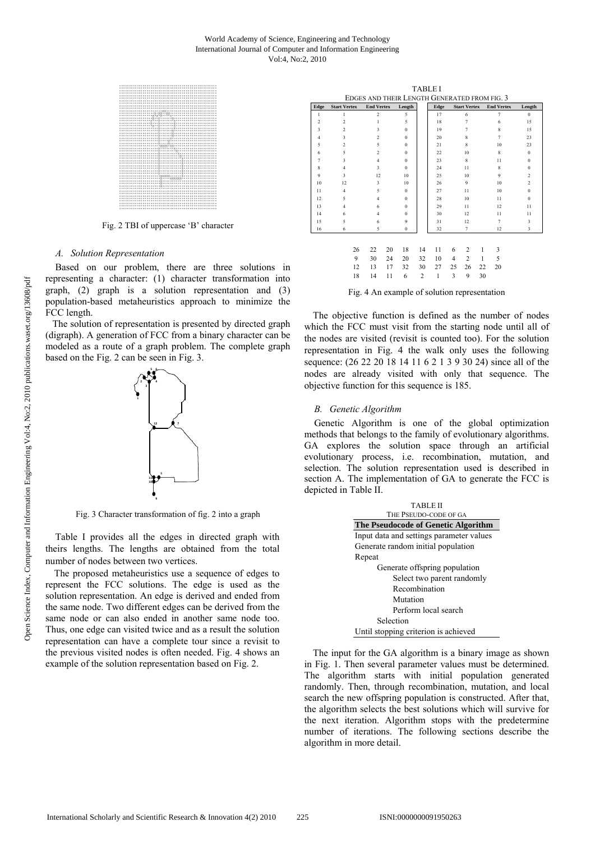#### World Academy of Science, Engineering and Technology International Journal of Computer and Information Engineering Vol:4, No:2, 2010



Fig. 2 TBI of uppercase 'B' character

#### A. Solution Representation

Based on our problem, there are three solutions in representing a character: (1) character transformation into graph,  $(2)$  graph is a solution representation and  $(3)$ population-based metaheuristics approach to minimize the FCC length.

The solution of representation is presented by directed graph (digraph). A generation of FCC from a binary character can be modeled as a route of a graph problem. The complete graph based on the Fig. 2 can be seen in Fig. 3.



Fig. 3 Character transformation of fig. 2 into a graph

Table I provides all the edges in directed graph with theirs lengths. The lengths are obtained from the total number of nodes between two vertices.

The proposed metaheuristics use a sequence of edges to represent the FCC solutions. The edge is used as the solution representation. An edge is derived and ended from the same node. Two different edges can be derived from the same node or can also ended in another same node too. Thus, one edge can visited twice and as a result the solution representation can have a complete tour since a revisit to the previous visited nodes is often needed. Fig. 4 shows an example of the solution representation based on Fig. 2.

| <b>TABLE I</b>                               |                     |    |                          |    |              |                |      |                |                     |    |                    |                |
|----------------------------------------------|---------------------|----|--------------------------|----|--------------|----------------|------|----------------|---------------------|----|--------------------|----------------|
| EDGES AND THEIR LENGTH GENERATED FROM FIG. 3 |                     |    |                          |    |              |                |      |                |                     |    |                    |                |
| Edge                                         | <b>Start Vertex</b> |    | <b>End Vertex</b>        |    | Length       |                | Edge |                | <b>Start Vertex</b> |    | <b>End Vertex</b>  | Length         |
| $\mathbf{1}$                                 | 1                   |    | $\overline{c}$           |    | 5            |                | 17   |                | 6                   |    | $\overline{7}$     | $\bf{0}$       |
| $\overline{2}$                               | $\overline{c}$      |    | 1                        |    | 5            |                | 18   |                | 7                   |    | 6                  | 15             |
| 3                                            | $\overline{c}$      |    | 3                        |    | $\Omega$     |                | 19   |                | 7                   |    | $\mathbf{\hat{x}}$ | 15             |
| $\overline{4}$                               | 3                   |    | $\overline{c}$           |    | $\theta$     |                | 20   |                | 8                   |    | $\overline{7}$     | 23             |
| 5                                            | $\overline{c}$      |    | $\varsigma$              |    | $\theta$     |                | 21   |                | 8                   |    | 10                 | 23             |
| 6                                            | 5                   |    | $\overline{\mathcal{L}}$ |    | $\theta$     |                | 22   |                | 10                  |    | 8                  | $\bf{0}$       |
| $\overline{7}$                               | 3                   |    | $\overline{4}$           |    | $\Omega$     |                | 23   |                | 8                   |    | 11                 | $\Omega$       |
| 8                                            | $\overline{4}$      |    | $\ddot{\mathbf{3}}$      |    | $\Omega$     |                | 24   |                | 11                  |    | $\mathbf{\hat{z}}$ | $\bf{0}$       |
| $\mathbf{Q}$                                 | $\ddot{\mathbf{3}}$ |    | 12.                      |    | 10           |                | 25   |                | 10                  |    | $\mathbf{Q}$       | $\overline{c}$ |
| 10                                           | 12                  |    | 3                        |    | 10           |                | 26   |                | $\mathbf{Q}$        |    | 10                 | $\overline{c}$ |
| 11                                           | $\overline{4}$      |    | $\varsigma$              |    | $\Omega$     |                | 27   |                | 11                  |    | 10                 | $\bf{0}$       |
| 12                                           | 5                   |    | $\overline{4}$           |    | $\Omega$     |                | 28   |                | 10                  |    | 11                 | $\bf{0}$       |
| 13                                           | $\overline{4}$      |    | 6                        |    | $\Omega$     |                | 29   |                | 11                  |    | 12                 | 11             |
| 14                                           | 6                   |    | $\overline{4}$           |    | $\theta$     |                | 30   |                | 12                  |    | 11                 | 11             |
| 15                                           | 5                   |    | 6                        |    | 9            |                | 31   |                | 12                  |    | $\overline{7}$     | 3              |
| 16                                           | 6                   |    | $\varsigma$              |    | $\mathbf{0}$ |                | 32   | $\overline{7}$ |                     |    | 12                 | 3              |
|                                              |                     |    |                          |    |              |                |      |                |                     |    |                    |                |
|                                              |                     | 26 |                          |    |              | 14             | 11   |                | $\overline{c}$      |    |                    |                |
|                                              |                     |    | 22                       | 20 | 18           |                |      | 6              |                     | 1  | 3                  |                |
|                                              |                     | 9  | 30                       | 24 | 20           | 32             | 10   | $\overline{4}$ | $\overline{c}$      | 1  | 5                  |                |
|                                              |                     | 12 | 13                       | 17 | 32           | 30             | 27   | 25             | 26                  | 22 | 20                 |                |
|                                              |                     | 18 | 14                       | 11 | 6            | $\overline{c}$ | 1    | 3              | 9                   | 30 |                    |                |
|                                              |                     |    |                          |    |              |                |      |                |                     |    |                    |                |

Fig. 4 An example of solution representation

The objective function is defined as the number of nodes which the FCC must visit from the starting node until all of the nodes are visited (revisit is counted too). For the solution representation in Fig. 4 the walk only uses the following sequence: (26 22 20 18 14 11 6 2 1 3 9 30 24) since all of the nodes are already visited with only that sequence. The objective function for this sequence is 185.

#### **B.** Genetic Algorithm

Genetic Algorithm is one of the global optimization methods that belongs to the family of evolutionary algorithms. GA explores the solution space through an artificial evolutionary process, i.e. recombination, mutation, and selection. The solution representation used is described in section A. The implementation of GA to generate the FCC is depicted in Table II.

| <b>TABLE II</b>                          |  |  |  |  |  |  |
|------------------------------------------|--|--|--|--|--|--|
| THE PSEUDO-CODE OF GA                    |  |  |  |  |  |  |
| The Pseudocode of Genetic Algorithm      |  |  |  |  |  |  |
| Input data and settings parameter values |  |  |  |  |  |  |
| Generate random initial population       |  |  |  |  |  |  |
| Repeat                                   |  |  |  |  |  |  |
| Generate offspring population            |  |  |  |  |  |  |
| Select two parent randomly               |  |  |  |  |  |  |
| Recombination                            |  |  |  |  |  |  |
| Mutation                                 |  |  |  |  |  |  |
| Perform local search                     |  |  |  |  |  |  |
| Selection                                |  |  |  |  |  |  |
| Until stonning criterion is achieved     |  |  |  |  |  |  |

The input for the GA algorithm is a binary image as shown in Fig. 1. Then several parameter values must be determined. The algorithm starts with initial population generated randomly. Then, through recombination, mutation, and local search the new offspring population is constructed. After that, the algorithm selects the best solutions which will survive for the next iteration. Algorithm stops with the predetermine number of iterations. The following sections describe the algorithm in more detail.

pen Science Index, Computer and Information Engineering Vol:4, No:2, 2010 publications.waset.org/13608/pdf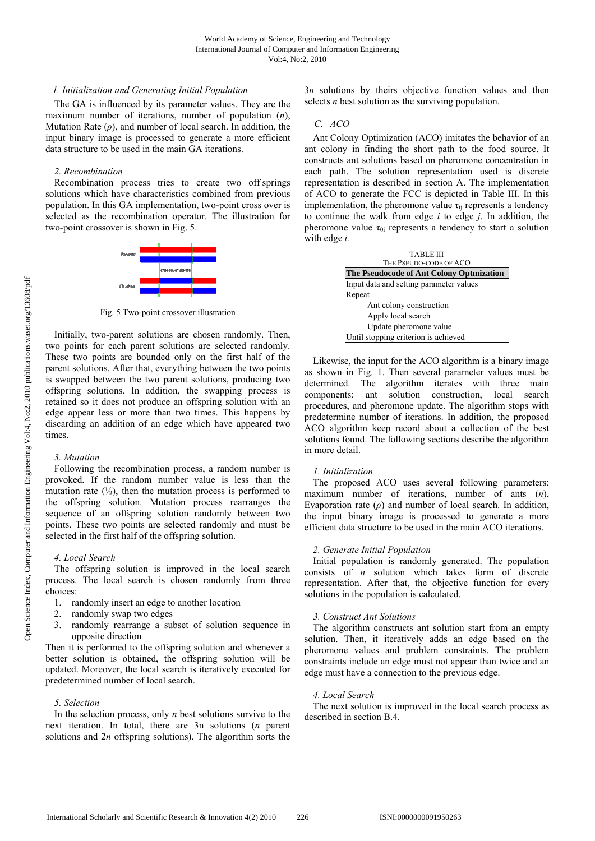# *1. Initialization and Generating Initial Population*

The GA is influenced by its parameter values. They are the maximum number of iterations, number of population (*n*), Mutation Rate  $(\rho)$ , and number of local search. In addition, the input binary image is processed to generate a more efficient data structure to be used in the main GA iterations.

## *2. Recombination*

Recombination process tries to create two off springs solutions which have characteristics combined from previous population. In this GA implementation, two-point cross over is selected as the recombination operator. The illustration for two-point crossover is shown in Fig. 5.



Fig. 5 Two-point crossover illustration

Initially, two-parent solutions are chosen randomly. Then, two points for each parent solutions are selected randomly. These two points are bounded only on the first half of the parent solutions. After that, everything between the two points is swapped between the two parent solutions, producing two offspring solutions. In addition, the swapping process is retained so it does not produce an offspring solution with an edge appear less or more than two times. This happens by discarding an addition of an edge which have appeared two times.

# *3. Mutation*

Following the recombination process, a random number is provoked. If the random number value is less than the mutation rate  $(\frac{1}{2})$ , then the mutation process is performed to the offspring solution. Mutation process rearranges the sequence of an offspring solution randomly between two points. These two points are selected randomly and must be selected in the first half of the offspring solution.

# *4. Local Search*

The offspring solution is improved in the local search process. The local search is chosen randomly from three choices:

- 1. randomly insert an edge to another location
- 2. randomly swap two edges
- 3. randomly rearrange a subset of solution sequence in opposite direction

Then it is performed to the offspring solution and whenever a better solution is obtained, the offspring solution will be updated. Moreover, the local search is iteratively executed for predetermined number of local search.

# *5. Selection*

In the selection process, only *n* best solutions survive to the next iteration. In total, there are 3n solutions (*n* parent solutions and 2*n* offspring solutions). The algorithm sorts the 3*n* solutions by theirs objective function values and then selects *n* best solution as the surviving population.

# *C. ACO*

Ant Colony Optimization (ACO) imitates the behavior of an ant colony in finding the short path to the food source. It constructs ant solutions based on pheromone concentration in each path. The solution representation used is discrete representation is described in section A. The implementation of ACO to generate the FCC is depicted in Table III. In this implementation, the pheromone value  $\tau_{ii}$  represents a tendency to continue the walk from edge *i* to edge *j*. In addition, the pheromone value  $\tau_{0i}$  represents a tendency to start a solution with edge *i.* 

| <b>TABLE III</b><br>THE PSEUDO-CODE OF ACO |  |  |  |  |  |
|--------------------------------------------|--|--|--|--|--|
| The Pseudocode of Ant Colony Optmization   |  |  |  |  |  |
| Input data and setting parameter values    |  |  |  |  |  |
| Repeat                                     |  |  |  |  |  |
| Ant colony construction                    |  |  |  |  |  |
| Apply local search                         |  |  |  |  |  |
| Update pheromone value                     |  |  |  |  |  |
| Until stopping criterion is achieved       |  |  |  |  |  |

 Likewise, the input for the ACO algorithm is a binary image as shown in Fig. 1. Then several parameter values must be determined. The algorithm iterates with three main components: ant solution construction, local search procedures, and pheromone update. The algorithm stops with predetermine number of iterations. In addition, the proposed ACO algorithm keep record about a collection of the best solutions found. The following sections describe the algorithm in more detail.

# *1. Initialization*

The proposed ACO uses several following parameters: maximum number of iterations, number of ants (*n*), Evaporation rate  $(\rho)$  and number of local search. In addition, the input binary image is processed to generate a more efficient data structure to be used in the main ACO iterations.

#### *2. Generate Initial Population*

Initial population is randomly generated. The population consists of *n* solution which takes form of discrete representation. After that, the objective function for every solutions in the population is calculated.

# *3. Construct Ant Solutions*

The algorithm constructs ant solution start from an empty solution. Then, it iteratively adds an edge based on the pheromone values and problem constraints. The problem constraints include an edge must not appear than twice and an edge must have a connection to the previous edge.

#### *4. Local Search*

The next solution is improved in the local search process as described in section B.4.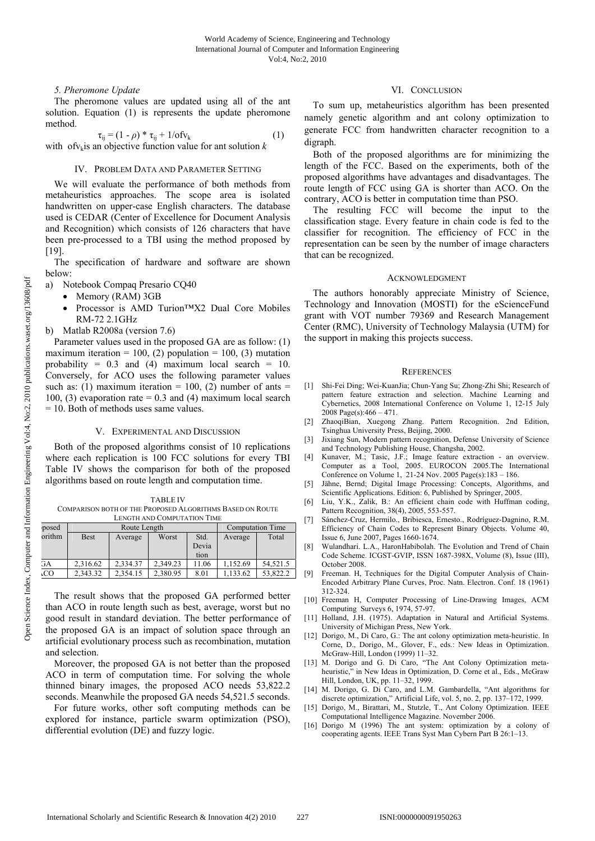# *5. Pheromone Update*

 The pheromone values are updated using all of the ant solution. Equation (1) is represents the update pheromone method.

$$
\tau_{ij} = (1 - \rho) * \tau_{ij} + 1/\sigma f v_k \tag{1}
$$

with of  $v_k$  is an objective function value for ant solution  $k$ 

## IV. PROBLEM DATA AND PARAMETER SETTING

We will evaluate the performance of both methods from metaheuristics approaches. The scope area is isolated handwritten on upper-case English characters. The database used is CEDAR (Center of Excellence for Document Analysis and Recognition) which consists of 126 characters that have been pre-processed to a TBI using the method proposed by [19].

The specification of hardware and software are shown below:

a) Notebook Compaq Presario CQ40

- Memory (RAM) 3GB
- Processor is AMD Turion™X2 Dual Core Mobiles RM-72 2.1GHz
- b) Matlab R2008a (version 7.6)

Parameter values used in the proposed GA are as follow: (1) maximum iteration = 100, (2) population = 100, (3) mutation probability =  $0.3$  and (4) maximum local search =  $10$ . Conversely, for ACO uses the following parameter values such as: (1) maximum iteration = 100, (2) number of ants = 100, (3) evaporation rate  $= 0.3$  and (4) maximum local search = 10. Both of methods uses same values.

#### V. EXPERIMENTAL AND DISCUSSION

Both of the proposed algorithms consist of 10 replications where each replication is 100 FCC solutions for every TBI Table IV shows the comparison for both of the proposed algorithms based on route length and computation time.

TABLE IV COMPARISON BOTH OF THE PROPOSED ALGORITHMS BASED ON ROUTE LENGTH AND COMPUTATION TIME

|  | posed<br>orithm |          | Route Length | <b>Computation Time</b> |       |         |          |
|--|-----------------|----------|--------------|-------------------------|-------|---------|----------|
|  |                 | Best     | Average      | Worst                   | Std.  | Average | Total    |
|  |                 |          |              |                         | Devia |         |          |
|  |                 |          |              |                         | tion  |         |          |
|  | GА              | 2.316.62 | 2.334.37     | 2.349.23                | 11.06 | 152.69  | 54.521.5 |
|  | ιCΟ             | 2.343.32 | 2.354.15     | 2.380.95                | 8.01  | 133.62  | 53.822.2 |

The result shows that the proposed GA performed better than ACO in route length such as best, average, worst but no good result in standard deviation. The better performance of the proposed GA is an impact of solution space through an artificial evolutionary process such as recombination, mutation and selection.

Moreover, the proposed GA is not better than the proposed ACO in term of computation time. For solving the whole thinned binary images, the proposed ACO needs 53,822.2 seconds. Meanwhile the proposed GA needs 54,521.5 seconds.

For future works, other soft computing methods can be explored for instance, particle swarm optimization (PSO), differential evolution (DE) and fuzzy logic.

# VI. CONCLUSION

To sum up, metaheuristics algorithm has been presented namely genetic algorithm and ant colony optimization to generate FCC from handwritten character recognition to a digraph.

Both of the proposed algorithms are for minimizing the length of the FCC. Based on the experiments, both of the proposed algorithms have advantages and disadvantages. The route length of FCC using GA is shorter than ACO. On the contrary, ACO is better in computation time than PSO.

The resulting FCC will become the input to the classification stage. Every feature in chain code is fed to the classifier for recognition. The efficiency of FCC in the representation can be seen by the number of image characters that can be recognized.

#### ACKNOWLEDGMENT

The authors honorably appreciate Ministry of Science, Technology and Innovation (MOSTI) for the eScienceFund grant with VOT number 79369 and Research Management Center (RMC), University of Technology Malaysia (UTM) for the support in making this projects success.

#### **REFERENCES**

- [1] Shi-Fei Ding; Wei-KuanJia; Chun-Yang Su; Zhong-Zhi Shi; Research of pattern feature extraction and selection. Machine Learning and Cybernetics, 2008 International Conference on Volume 1, 12-15 July 2008 Page(s):466 – 471.
- [2] ZhaoqiBian, Xuegong Zhang. Pattern Recognition. 2nd Edition, Tsinghua University Press, Beijing, 2000.
- [3] Jixiang Sun, Modern pattern recognition, Defense University of Science and Technology Publishing House, Changsha, 2002.
- [4] Kunaver, M.; Tasic, J.F.; Image feature extraction an overview. Computer as a Tool, 2005. EUROCON 2005.The International Conference on Volume 1, 21-24 Nov. 2005 Page(s):183 – 186.
- [5] Jähne, Bernd; Digital Image Processing: Concepts, Algorithms, and Scientific Applications. Edition: 6, Published by Springer, 2005.
- [6] Liu, Y.K., Zalik, B.: An efficient chain code with Huffman coding, Pattern Recognition, 38(4), 2005, 553-557.
- [7] Sánchez-Cruz, Hermilo., Bribiesca, Ernesto., Rodríguez-Dagnino, R.M. Efficiency of Chain Codes to Represent Binary Objects. Volume 40, Issue 6, June 2007, Pages 1660-1674.
- [8] Wulandhari. L.A., HaronHabibolah. The Evolution and Trend of Chain Code Scheme. ICGST-GVIP, ISSN 1687-398X, Volume (8), Issue (III), October 2008.
- [9] Freeman. H, Techniques for the Digital Computer Analysis of Chain-Encoded Arbitrary Plane Curves, Proc. Natn. Electron. Conf. 18 (1961) 312-324.
- [10] Freeman H, Computer Processing of Line-Drawing Images, ACM Computing Surveys 6, 1974, 57-97.
- [11] Holland, J.H. (1975). Adaptation in Natural and Artificial Systems. University of Michigan Press, New York.
- [12] Dorigo, M., Di Caro, G.: The ant colony optimization meta-heuristic. In Corne, D., Dorigo, M., Glover, F., eds.: New Ideas in Optimization. McGraw-Hill, London (1999) 11–32.
- [13] M. Dorigo and G. Di Caro, "The Ant Colony Optimization metaheuristic," in New Ideas in Optimization, D. Corne et al., Eds., McGraw Hill, London, UK, pp. 11–32, 1999.
- [14] M. Dorigo, G. Di Caro, and L.M. Gambardella, "Ant algorithms for discrete optimization," Artificial Life, vol. 5, no. 2, pp. 137–172, 1999.
- [15] Dorigo, M., Birattari, M., Stutzle, T., Ant Colony Optimization. IEEE Computational Intelligence Magazine. November 2006.
- [16] Dorigo M (1996) The ant system: optimization by a colony of cooperating agents. IEEE Trans Syst Man Cybern Part B 26:1–13.